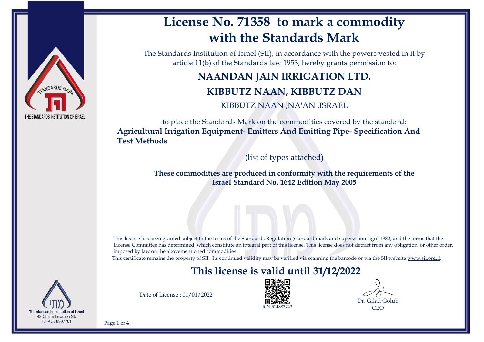

# **License No. 71358 to mark a commodity with the Standards Mark**

The Standards Institution of Israel (SII), in accordance with the powers vested in it by article 11(b) of the Standards law 1953, hereby grants permission to:

# **NAANDAN JAIN IRRIGATION LTD. KIBBUTZ NAAN, KIBBUTZ DAN**

KIBBUTZ NAAN ,NA'AN ,ISRAEL

to place the Standards Mark on the commodities covered by the standard: **Agricultural Irrigation Equipment- Emitters And Emitting Pipe- Specification And Test Methods**

(list of types attached)

**These commodities are produced in conformity with the requirements of the Israel Standard No. 1642 Edition May 2005**

This license has been granted subject to the terms of the Standards Regulation (standard mark and supervision sign) 1982, and the terms that the License Committee has determined, which constitute an integral part of this license. This license does not detract from any obligation, or other order, imposed by law on the abovementioned commodities

This certificate remains the property of SII. Its continued validity may be verified via scanning the barcode or via the SII website [www.sii.org.il.](http://www.sii.org.il)

### **This license is valid until 31/12/2022**



Date of License : 01/01/2022



Dr. Gilad Golub **CEO** 

Page 1 of 4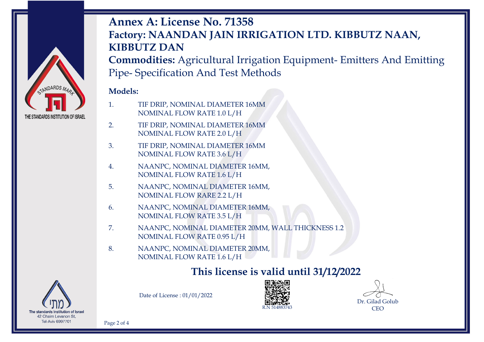

# **Annex A: License No. 71358 Factory: NAANDAN JAIN IRRIGATION LTD. KIBBUTZ NAAN, KIBBUTZ DAN**

**Commodities:** Agricultural Irrigation Equipment- Emitters And Emitting Pipe- Specification And Test Methods

#### **Models:**

- 1. TIF DRIP, NOMINAL DIAMETER 16MM NOMINAL FLOW RATE 1.0 L/H
- 2. TIF DRIP, NOMINAL DIAMETER 16MM NOMINAL FLOW RATE 2.0 L/H
- 3. TIF DRIP, NOMINAL DIAMETER 16MM NOMINAL FLOW RATE 3.6 L/H
- 4. NAANPC, NOMINAL DIAMETER 16MM, NOMINAL FLOW RATE 1.6 L/H
- 5. NAANPC, NOMINAL DIAMETER 16MM, NOMINAL FLOW RARE 2.2 L/H
- 6. NAANPC, NOMINAL DIAMETER 16MM, NOMINAL FLOW RATE 3.5 L/H
- 7. NAANPC, NOMINAL DIAMETER 20MM, WALL THICKNESS 1.2 NOMINAL FLOW RATE 0.95 L/H
- 8. NAANPC, NOMINAL DIAMETER 20MM, NOMINAL FLOW RATE 1.6 L/H

### **This license is valid until 31/12/2022**



Date of License : 01/01/2022



Dr. Gilad Golub CEO

Page 2 of 4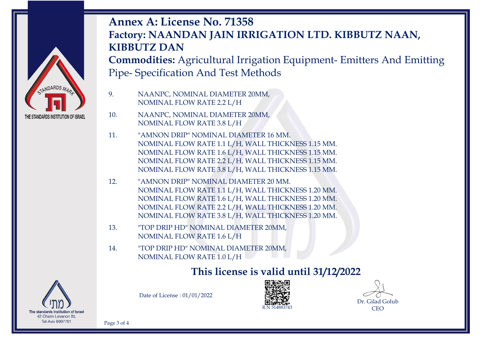

# **Annex A: License No. 71358 Factory: NAANDAN JAIN IRRIGATION LTD. KIBBUTZ NAAN, KIBBUTZ DAN**

**Commodities:** Agricultural Irrigation Equipment- Emitters And Emitting Pipe- Specification And Test Methods

9. NAANPC, NOMINAL DIAMETER 20MM, NOMINAL FLOW RATE 2.2 L/H

10. NAANPC, NOMINAL DIAMETER 20MM, NOMINAL FLOW RATE 3.8 L/H

11. "AMNON DRIP" NOMINAL DIAMETER 16 MM. NOMINAL FLOW RATE 1.1 L/H, WALL THICKNESS 1.15 MM. NOMINAL FLOW RATE 1.6 L/H, WALL THICKNESS 1.15 MM. NOMINAL FLOW RATE 2.2 L/H, WALL THICKNESS 1.15 MM. NOMINAL FLOW RATE 3.8 L/H, WALL THICKNESS 1.15 MM.

- 12. "AMNON DRIP" NOMINAL DIAMETER 20 MM. NOMINAL FLOW RATE 1.1 L/H, WALL THICKNESS 1.20 MM. NOMINAL FLOW RATE 1.6 L/H, WALL THICKNESS 1.20 MM. NOMINAL FLOW RATE 2.2 L/H, WALL THICKNESS 1.20 MM. NOMINAL FLOW RATE 3.8 L/H, WALL THICKNESS 1.20 MM.
- 13. "TOP DRIP HD" NOMINAL DIAMETER 20MM, NOMINAL FLOW RATE 1.6 L/H
- 14. "TOP DRIP HD" NOMINAL DIAMETER 20MM, NOMINAL FLOW RATE 1.0 L/H

### **This license is valid until 31/12/2022**



Date of License : 01/01/2022



Dr. Gilad Golub CEO

Page 3 of 4